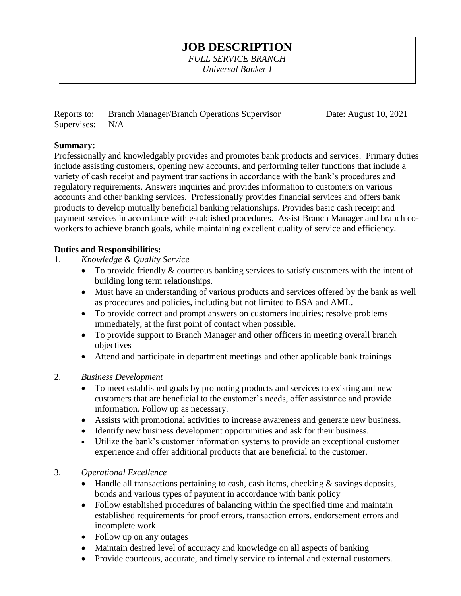# **JOB DESCRIPTION**

*FULL SERVICE BRANCH Universal Banker I* 

Reports to: Branch Manager/Branch Operations Supervisor Date: August 10, 2021 Supervises: N/A

### **Summary:**

Professionally and knowledgably provides and promotes bank products and services. Primary duties include assisting customers, opening new accounts, and performing teller functions that include a variety of cash receipt and payment transactions in accordance with the bank's procedures and regulatory requirements. Answers inquiries and provides information to customers on various accounts and other banking services. Professionally provides financial services and offers bank products to develop mutually beneficial banking relationships. Provides basic cash receipt and payment services in accordance with established procedures. Assist Branch Manager and branch coworkers to achieve branch goals, while maintaining excellent quality of service and efficiency.

### **Duties and Responsibilities:**

- 1. *Knowledge & Quality Service*
	- To provide friendly & courteous banking services to satisfy customers with the intent of building long term relationships.
	- Must have an understanding of various products and services offered by the bank as well as procedures and policies, including but not limited to BSA and AML.
	- To provide correct and prompt answers on customers inquiries; resolve problems immediately, at the first point of contact when possible.
	- To provide support to Branch Manager and other officers in meeting overall branch objectives
	- Attend and participate in department meetings and other applicable bank trainings
- 2. *Business Development* 
	- To meet established goals by promoting products and services to existing and new customers that are beneficial to the customer's needs, offer assistance and provide information. Follow up as necessary.
	- Assists with promotional activities to increase awareness and generate new business.
	- Identify new business development opportunities and ask for their business.
	- Utilize the bank's customer information systems to provide an exceptional customer experience and offer additional products that are beneficial to the customer.

## 3. *Operational Excellence*

- Handle all transactions pertaining to cash, cash items, checking & savings deposits, bonds and various types of payment in accordance with bank policy
- Follow established procedures of balancing within the specified time and maintain established requirements for proof errors, transaction errors, endorsement errors and incomplete work
- Follow up on any outages
- Maintain desired level of accuracy and knowledge on all aspects of banking
- Provide courteous, accurate, and timely service to internal and external customers.